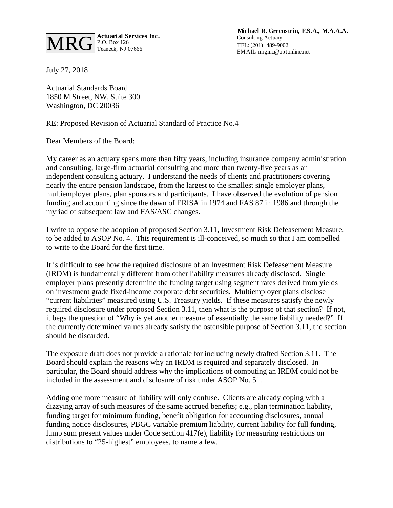

**Michael R. Greenstein, F.S.A., M.A.A.A.** Consulting Actuary TEL: (201) 489-9002 EMAIL: mrginc@optonline.net

July 27, 2018

Actuarial Standards Board 1850 M Street, NW, Suite 300 Washington, DC 20036

RE: Proposed Revision of Actuarial Standard of Practice No.4

Dear Members of the Board:

My career as an actuary spans more than fifty years, including insurance company administration and consulting, large-firm actuarial consulting and more than twenty-five years as an independent consulting actuary. I understand the needs of clients and practitioners covering nearly the entire pension landscape, from the largest to the smallest single employer plans, multiemployer plans, plan sponsors and participants. I have observed the evolution of pension funding and accounting since the dawn of ERISA in 1974 and FAS 87 in 1986 and through the myriad of subsequent law and FAS/ASC changes.

I write to oppose the adoption of proposed Section 3.11, Investment Risk Defeasement Measure, to be added to ASOP No. 4. This requirement is ill-conceived, so much so that I am compelled to write to the Board for the first time.

It is difficult to see how the required disclosure of an Investment Risk Defeasement Measure (IRDM) is fundamentally different from other liability measures already disclosed. Single employer plans presently determine the funding target using segment rates derived from yields on investment grade fixed-income corporate debt securities. Multiemployer plans disclose "current liabilities" measured using U.S. Treasury yields. If these measures satisfy the newly required disclosure under proposed Section 3.11, then what is the purpose of that section? If not, it begs the question of "Why is yet another measure of essentially the same liability needed?" If the currently determined values already satisfy the ostensible purpose of Section 3.11, the section should be discarded.

The exposure draft does not provide a rationale for including newly drafted Section 3.11. The Board should explain the reasons why an IRDM is required and separately disclosed. In particular, the Board should address why the implications of computing an IRDM could not be included in the assessment and disclosure of risk under ASOP No. 51.

Adding one more measure of liability will only confuse. Clients are already coping with a dizzying array of such measures of the same accrued benefits; e.g., plan termination liability, funding target for minimum funding, benefit obligation for accounting disclosures, annual funding notice disclosures, PBGC variable premium liability, current liability for full funding, lump sum present values under Code section 417(e), liability for measuring restrictions on distributions to "25-highest" employees, to name a few.